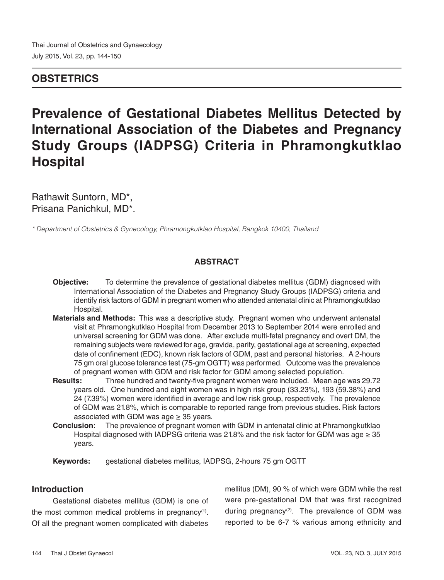### **OBSTETRICS**

# **Prevalence of Gestational Diabetes Mellitus Detected by International Association of the Diabetes and Pregnancy Study Groups (IADPSG) Criteria in Phramongkutklao Hospital**

Rathawit Suntorn, MD\*, Prisana Panichkul, MD\*.

*\* Department of Obstetrics & Gynecology, Phramongkutklao Hospital, Bangkok 10400, Thailand*

### **ABSTRACT**

- **Objective:** To determine the prevalence of gestational diabetes mellitus (GDM) diagnosed with International Association of the Diabetes and Pregnancy Study Groups (IADPSG) criteria and identify risk factors of GDM in pregnant women who attended antenatal clinic at Phramongkutklao Hospital.
- **Materials and Methods:** This was a descriptive study. Pregnant women who underwent antenatal visit at Phramongkutklao Hospital from December 2013 to September 2014 were enrolled and universal screening for GDM was done. After exclude multi-fetal pregnancy and overt DM, the remaining subjects were reviewed for age, gravida, parity, gestational age at screening, expected date of confinement (EDC), known risk factors of GDM, past and personal histories. A 2-hours 75 gm oral glucose tolerance test (75-gm OGTT) was performed. Outcome was the prevalence of pregnant women with GDM and risk factor for GDM among selected population.
- **Results:** Three hundred and twenty-five pregnant women were included. Mean age was 29.72 years old. One hundred and eight women was in high risk group (33.23%), 193 (59.38%) and 24 (7.39%) women were identified in average and low risk group, respectively. The prevalence of GDM was 21.8%, which is comparable to reported range from previous studies. Risk factors associated with GDM was age  $\geq$  35 years.
- **Conclusion:** The prevalence of pregnant women with GDM in antenatal clinic at Phramongkutklao Hospital diagnosed with IADPSG criteria was 21.8% and the risk factor for GDM was age  $\geq$  35 years.
- **Keywords:** gestational diabetes mellitus, IADPSG, 2-hours 75 gm OGTT

### **Introduction**

Gestational diabetes mellitus (GDM) is one of the most common medical problems in pregnancy<sup>(1)</sup>. Of all the pregnant women complicated with diabetes

mellitus (DM), 90 % of which were GDM while the rest were pre-gestational DM that was first recognized during pregnancy<sup>(2)</sup>. The prevalence of GDM was reported to be 6-7 % various among ethnicity and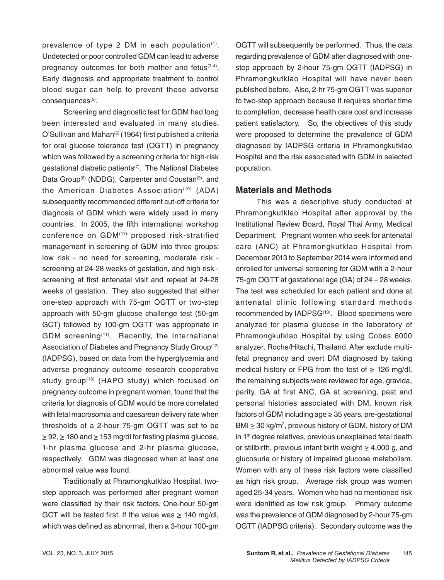prevalence of type 2 DM in each population<sup>(1)</sup>. Undetected or poor controlled GDM can lead to adverse pregnancy outcomes for both mother and fetus<sup>(3-4)</sup>. Early diagnosis and appropriate treatment to control blood sugar can help to prevent these adverse consequences<sup>(5)</sup>.

Screening and diagnostic test for GDM had long been interested and evaluated in many studies. O'Sullivan and Mahan<sup>(6)</sup> (1964) first published a criteria for oral glucose tolerance test (OGTT) in pregnancy which was followed by a screening criteria for high-risk gestational diabetic patients(7). The National Diabetes Data Group<sup>(8)</sup> (NDDG), Carpenter and Coustan<sup>(9)</sup>, and the American Diabetes Association<sup>(10)</sup> (ADA) subsequently recommended different cut-off criteria for diagnosis of GDM which were widely used in many countries. In 2005, the fifth international workshop conference on GDM(11) proposed risk-stratified management in screening of GDM into three groups: low risk - no need for screening, moderate risk screening at 24-28 weeks of gestation, and high risk screening at first antenatal visit and repeat at 24-28 weeks of gestation. They also suggested that either one-step approach with 75-gm OGTT or two-step approach with 50-gm glucose challenge test (50-gm GCT) followed by 100-gm OGTT was appropriate in GDM screening(11). Recently, the International Association of Diabetes and Pregnancy Study Group<sup>(12)</sup> (IADPSG), based on data from the hyperglycemia and adverse pregnancy outcome research cooperative study group<sup>(13)</sup> (HAPO study) which focused on pregnancy outcome in pregnant women, found that the criteria for diagnosis of GDM would be more correlated with fetal macrosomia and caesarean delivery rate when thresholds of a 2-hour 75-gm OGTT was set to be ≥ 92, ≥ 180 and ≥ 153 mg/dl for fasting plasma glucose, 1-hr plasma glucose and 2-hr plasma glucose, respectively. GDM was diagnosed when at least one abnormal value was found.

Traditionally at Phramongkutklao Hospital, twostep approach was performed after pregnant women were classified by their risk factors. One-hour 50-gm GCT will be tested first. If the value was  $\geq 140$  mg/dl, which was defined as abnormal, then a 3-hour 100-gm

OGTT will subsequently be performed. Thus, the data regarding prevalence of GDM after diagnosed with onestep approach by 2-hour 75-gm OGTT (IADPSG) in Phramongkutklao Hospital will have never been published before. Also, 2-hr 75-gm OGTT was superior to two-step approach because it requires shorter time to completion, decrease health care cost and increase patient satisfactory. So, the objectives of this study were proposed to determine the prevalence of GDM diagnosed by IADPSG criteria in Phramongkutklao Hospital and the risk associated with GDM in selected population.

### **Materials and Methods**

This was a descriptive study conducted at Phramongkutklao Hospital after approval by the Institutional Review Board, Royal Thai Army, Medical Department. Pregnant women who seek for antenatal care (ANC) at Phramongkutklao Hospital from December 2013 to September 2014 were informed and enrolled for universal screening for GDM with a 2-hour 75-gm OGTT at gestational age (GA) of 24 – 28 weeks. The test was scheduled for each patient and done at antenatal clinic following standard methods recommended by IADPSG<sup>(13)</sup>. Blood specimens were analyzed for plasma glucose in the laboratory of Phramongkutklao Hospital by using Cobas 6000 analyzer, Roche/Hitachi, Thailand. After exclude multifetal pregnancy and overt DM diagnosed by taking medical history or FPG from the test of  $\geq$  126 mg/dl, the remaining subjects were reviewed for age, gravida, parity, GA at first ANC, GA at screening, past and personal histories associated with DM, known risk factors of GDM including age ≥ 35 years, pre-gestational  $BMI \geq 30 \text{ kg/m}^2$ , previous history of GDM, history of DM in 1<sup>st</sup> degree relatives, previous unexplained fetal death or stillbirth, previous infant birth weight  $\geq 4,000$  g, and glucosuria or history of impaired glucose metabolism. Women with any of these risk factors were classified as high risk group. Average risk group was women aged 25-34 years. Women who had no mentioned risk were identified as low risk group. Primary outcome was the prevalence of GDM diagnosed by 2-hour 75-gm OGTT (IADPSG criteria). Secondary outcome was the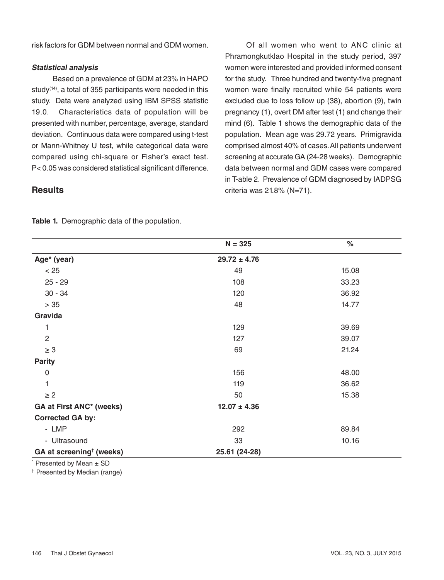risk factors for GDM between normal and GDM women.

#### **Statistical analysis**

Based on a prevalence of GDM at 23% in HAPO study<sup>(14)</sup>, a total of 355 participants were needed in this study. Data were analyzed using IBM SPSS statistic 19.0. Characteristics data of population will be presented with number, percentage, average, standard deviation. Continuous data were compared using t-test or Mann-Whitney U test, while categorical data were compared using chi-square or Fisher's exact test. P< 0.05 was considered statistical significant difference.

Of all women who went to ANC clinic at Phramongkutklao Hospital in the study period, 397 women were interested and provided informed consent for the study. Three hundred and twenty-five pregnant women were finally recruited while 54 patients were excluded due to loss follow up (38), abortion (9), twin pregnancy (1), overt DM after test (1) and change their mind (6). Table 1 shows the demographic data of the population. Mean age was 29.72 years. Primigravida comprised almost 40% of cases. All patients underwent screening at accurate GA (24-28 weeks). Demographic data between normal and GDM cases were compared in T-able 2. Prevalence of GDM diagnosed by IADPSG criteria was 21.8% (N=71).

## **Results**

| Table 1. Demographic data of the population. |  |
|----------------------------------------------|--|
|                                              |  |

|                                      | $N = 325$        | $\%$  |
|--------------------------------------|------------------|-------|
| Age* (year)                          | $29.72 \pm 4.76$ |       |
| < 25                                 | 49               | 15.08 |
| $25 - 29$                            | 108              | 33.23 |
| $30 - 34$                            | 120              | 36.92 |
| $>35$                                | 48               | 14.77 |
| Gravida                              |                  |       |
| 1                                    | 129              | 39.69 |
| $\overline{2}$                       | 127              | 39.07 |
| $\geq 3$                             | 69               | 21.24 |
| <b>Parity</b>                        |                  |       |
| $\mathbf 0$                          | 156              | 48.00 |
| 1                                    | 119              | 36.62 |
| $\geq 2$                             | 50               | 15.38 |
| <b>GA at First ANC* (weeks)</b>      | $12.07 \pm 4.36$ |       |
| <b>Corrected GA by:</b>              |                  |       |
| - LMP                                | 292              | 89.84 |
| - Ultrasound                         | 33               | 10.16 |
| GA at screening <sup>†</sup> (weeks) | 25.61 (24-28)    |       |

Presented by Mean  $\pm$  SD

† Presented by Median (range)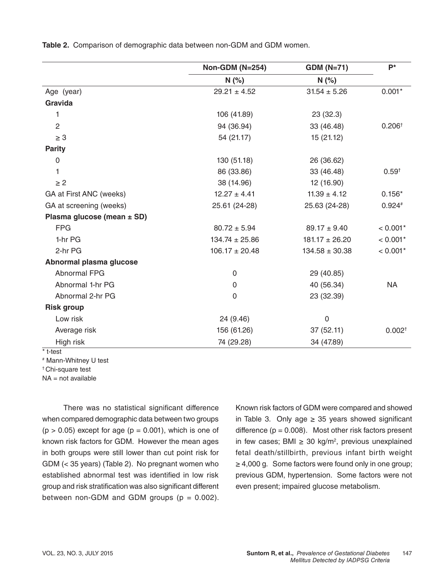|                            | <b>Non-GDM (N=254)</b> | <b>GDM (N=71)</b>  | $P^*$              |
|----------------------------|------------------------|--------------------|--------------------|
|                            | N(%)                   | N(%)               |                    |
| Age (year)                 | $29.21 \pm 4.52$       | $31.54 \pm 5.26$   | $0.001*$           |
| Gravida                    |                        |                    |                    |
| 1                          | 106 (41.89)            | 23(32.3)           |                    |
| $\overline{2}$             | 94 (36.94)             | 33 (46.48)         | 0.206 <sup>†</sup> |
| $\geq 3$                   | 54 (21.17)             | 15 (21.12)         |                    |
| <b>Parity</b>              |                        |                    |                    |
| 0                          | 130 (51.18)            | 26 (36.62)         |                    |
| 1                          | 86 (33.86)             | 33 (46.48)         | $0.59^{+}$         |
| $\geq$ 2                   | 38 (14.96)             | 12 (16.90)         |                    |
| GA at First ANC (weeks)    | $12.27 \pm 4.41$       | $11.39 \pm 4.12$   | $0.156*$           |
| GA at screening (weeks)    | 25.61 (24-28)          | 25.63 (24-28)      | $0.924*$           |
| Plasma glucose (mean ± SD) |                        |                    |                    |
| <b>FPG</b>                 | $80.72 \pm 5.94$       | $89.17 \pm 9.40$   | $< 0.001*$         |
| 1-hr PG                    | $134.74 \pm 25.86$     | $181.17 \pm 26.20$ | $< 0.001*$         |
| 2-hr PG                    | $106.17 \pm 20.48$     | $134.58 \pm 30.38$ | $< 0.001*$         |
| Abnormal plasma glucose    |                        |                    |                    |
| Abnormal FPG               | $\mathbf 0$            | 29 (40.85)         |                    |
| Abnormal 1-hr PG           | 0                      | 40 (56.34)         | <b>NA</b>          |
| Abnormal 2-hr PG           | $\overline{0}$         | 23 (32.39)         |                    |
| <b>Risk group</b>          |                        |                    |                    |
| Low risk                   | 24 (9.46)              | 0                  |                    |
| Average risk               | 156 (61.26)            | 37(52.11)          | 0.002 <sup>†</sup> |
| High risk                  | 74 (29.28)             | 34 (47.89)         |                    |

**Table 2.** Comparison of demographic data between non-GDM and GDM women.

\* t-test

# Mann-Whitney U test

† Chi-square test

 $NA = not available$ 

There was no statistical significant difference when compared demographic data between two groups  $(p > 0.05)$  except for age  $(p = 0.001)$ , which is one of known risk factors for GDM. However the mean ages in both groups were still lower than cut point risk for GDM (< 35 years) (Table 2). No pregnant women who established abnormal test was identified in low risk group and risk stratification was also significant different between non-GDM and GDM groups  $(p = 0.002)$ . Known risk factors of GDM were compared and showed in Table 3. Only age  $\geq$  35 years showed significant difference  $(p = 0.008)$ . Most other risk factors present in few cases; BMI ≥ 30 kg/m<sup>2</sup>, previous unexplained fetal death/stillbirth, previous infant birth weight ≥ 4,000 g. Some factors were found only in one group; previous GDM, hypertension. Some factors were not even present; impaired glucose metabolism.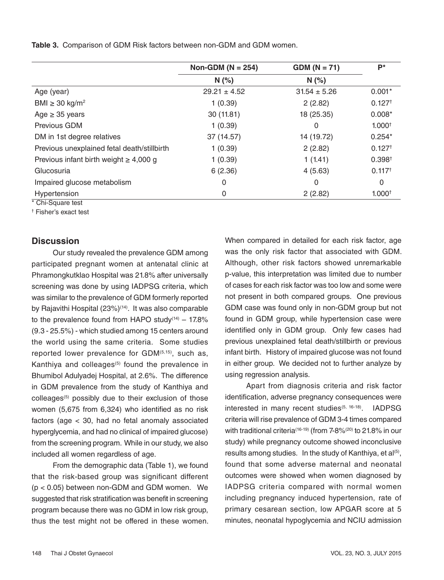|  | Table 3. Comparison of GDM Risk factors between non-GDM and GDM women. |  |
|--|------------------------------------------------------------------------|--|
|  |                                                                        |  |

|                                             | Non-GDM ( $N = 254$ ) | $GDM (N = 71)$   | $P^*$                |
|---------------------------------------------|-----------------------|------------------|----------------------|
|                                             | N(%                   | N(%              |                      |
| Age (year)                                  | $29.21 \pm 4.52$      | $31.54 \pm 5.26$ | $0.001*$             |
| BMI $\geq$ 30 kg/m <sup>2</sup>             | 1(0.39)               | 2(2.82)          | 0.127 <sup>†</sup>   |
| Age $\geq$ 35 years                         | 30(11.81)             | 18 (25.35)       | $0.008*$             |
| Previous GDM                                | 1(0.39)               | 0                | 1.000 <sup>†</sup>   |
| DM in 1st degree relatives                  | 37 (14.57)            | 14 (19.72)       | $0.254*$             |
| Previous unexplained fetal death/stillbirth | 1(0.39)               | 2(2.82)          | $0.127$ <sup>t</sup> |
| Previous infant birth weight $\geq 4,000$ g | 1(0.39)               | 1(1.41)          | 0.398 <sup>†</sup>   |
| Glucosuria                                  | 6(2.36)               | 4(5.63)          | $0.117^{+}$          |
| Impaired glucose metabolism                 | $\Omega$              | 0                | $\mathbf{0}$         |
| Hypertension                                | 0                     | 2(2.82)          | 1.000 <sup>†</sup>   |
| * Chi-Square test                           |                       |                  |                      |

† Fisher's exact test

### **Discussion**

Our study revealed the prevalence GDM among participated pregnant women at antenatal clinic at Phramongkutklao Hospital was 21.8% after universally screening was done by using IADPSG criteria, which was similar to the prevalence of GDM formerly reported by Rajavithi Hospital (23%)<sup>(14)</sup>. It was also comparable to the prevalence found from HAPO study $(14)$  – 17.8% (9.3 - 25.5%) - which studied among 15 centers around the world using the same criteria. Some studies reported lower prevalence for GDM<sup>(5,15)</sup>, such as, Kanthiya and colleages<sup>(5)</sup> found the prevalence in Bhumibol Adulyadej Hospital, at 2.6%. The difference in GDM prevalence from the study of Kanthiya and colleages<sup>(5)</sup> possibly due to their exclusion of those women (5,675 from 6,324) who identified as no risk factors (age < 30, had no fetal anomaly associated hyperglycemia, and had no clinical of impaired glucose) from the screening program. While in our study, we also included all women regardless of age.

From the demographic data (Table 1), we found that the risk-based group was significant different (p < 0.05) between non-GDM and GDM women. We suggested that risk stratification was benefit in screening program because there was no GDM in low risk group, thus the test might not be offered in these women. When compared in detailed for each risk factor, age was the only risk factor that associated with GDM. Although, other risk factors showed unremarkable p-value, this interpretation was limited due to number of cases for each risk factor was too low and some were not present in both compared groups. One previous GDM case was found only in non-GDM group but not found in GDM group, while hypertension case were identified only in GDM group. Only few cases had previous unexplained fetal death/stillbirth or previous infant birth. History of impaired glucose was not found in either group. We decided not to further analyze by using regression analysis.

Apart from diagnosis criteria and risk factor identification, adverse pregnancy consequences were interested in many recent studies<sup>(5, 16-18)</sup>. IADPSG criteria will rise prevalence of GDM 3-4 times compared with traditional criteria<sup>(16-19)</sup> (from 7-8%<sup>(20)</sup> to 21.8% in our study) while pregnancy outcome showed inconclusive results among studies. In the study of Kanthiya, et al<sup>(5)</sup>, found that some adverse maternal and neonatal outcomes were showed when women diagnosed by IADPSG criteria compared with normal women including pregnancy induced hypertension, rate of primary cesarean section, low APGAR score at 5 minutes, neonatal hypoglycemia and NCIU admission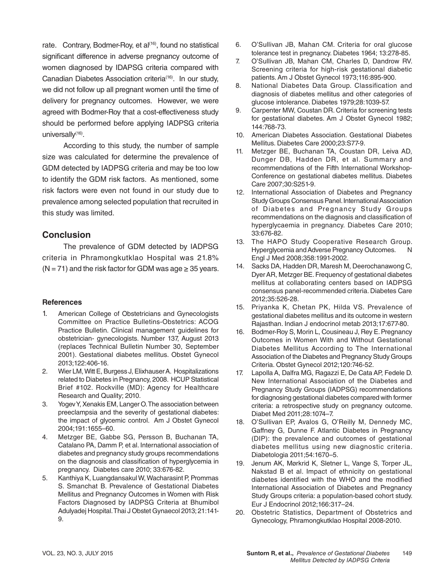rate. Contrary, Bodmer-Roy, et al<sup>(16)</sup>, found no statistical significant difference in adverse pregnancy outcome of women diagnosed by IDAPSG criteria compared with Canadian Diabetes Association criteria(16). In our study, we did not follow up all pregnant women until the time of delivery for pregnancy outcomes. However, we were agreed with Bodmer-Roy that a cost-effectiveness study should be performed before applying IADPSG criteria universally<sup>(16)</sup>.

According to this study, the number of sample size was calculated for determine the prevalence of GDM detected by IADPSG criteria and may be too low to identify the GDM risk factors. As mentioned, some risk factors were even not found in our study due to prevalence among selected population that recruited in this study was limited.

### **Conclusion**

The prevalence of GDM detected by IADPSG criteria in Phramongkutklao Hospital was 21.8%  $(N = 71)$  and the risk factor for GDM was age  $\geq$  35 years.

#### **References**

- 1. American College of Obstetricians and Gynecologists Committee on Practice Bulletins-Obstetrics: ACOG Practice Bulletin. Clinical management guidelines for obstetrician- gynecologists. Number 137, August 2013 (replaces Technical Bulletin Number 30, September 2001). Gestational diabetes mellitus. Obstet Gynecol 2013;122:406-16.
- 2. Wier LM, Witt E, Burgess J, Elixhauser A. Hospitalizations related to Diabetes in Pregnancy, 2008. HCUP Statistical Brief #102. Rockville (MD): Agency for Healthcare Research and Quality; 2010.
- 3. Yogev Y, Xenakis EM, Langer O. The association between preeclampsia and the severity of gestational diabetes: the impact of glycemic control. Am J Obstet Gynecol 2004;191:1655–60.
- 4. Metzger BE, Gabbe SG, Persson B, Buchanan TA, Catalano PA, Damm P, et al. International association of diabetes and pregnancy study groups recommendations on the diagnosis and classification of hyperglycemia in pregnancy. Diabetes care 2010; 33:676-82.
- 5. Kanthiya K, Luangdansakul W, Wacharasint P, Prommas S. Smanchat B. Prevalence of Gestational Diabetes Mellitus and Pregnancy Outcomes in Women with Risk Factors Diagnosed by IADPSG Criteria at Bhumibol Adulyadej Hospital. Thai J Obstet Gynaecol 2013; 21:141- 9.
- 6. O'Sullivan JB, Mahan CM. Criteria for oral glucose tolerance test in pregnancy. Diabetes 1964; 13:278-85.
- 7. O'Sullivan JB, Mahan CM, Charles D, Dandrow RV. Screening criteria for high-risk gestational diabetic patients. Am J Obstet Gynecol 1973;116:895-900.
- 8. National Diabetes Data Group. Classification and diagnosis of diabetes mellitus and other categories of glucose intolerance. Diabetes 1979;28:1039-57.
- 9. Carpenter MW, Coustan DR. Criteria for screening tests for gestational diabetes. Am J Obstet Gynecol 1982; 144:768-73.
- 10. American Diabetes Association. Gestational Diabetes Mellitus. Diabetes Care 2000;23:S77-9.
- 11. Metzger BE, Buchanan TA, Coustan DR, Leiva AD, Dunger DB, Hadden DR, et al. Summary and recommendations of the Fifth International Workshop-Conference on gestational diabetes mellitus. Diabetes Care 2007;30:S251-9.
- 12. International Association of Diabetes and Pregnancy Study Groups Consensus Panel. International Association of Diabetes and Pregnancy Study Groups recommendations on the diagnosis and classification of hyperglycaemia in pregnancy. Diabetes Care 2010; 33:676-82.
- 13. The HAPO Study Cooperative Research Group. Hyperglycemia and Adverse Pregnancy Outcomes. N Engl J Med 2008;358:1991-2002.
- 14. Sacks DA, Hadden DR, Maresh M, Deerochanawong C, Dyer AR, Metzger BE. Frequency of gestational diabetes mellitus at collaborating centers based on IADPSG consensus panel-recommended criteria. Diabetes Care 2012;35:526-28.
- 15. Priyanka K, Chetan PK, Hilda VS. Prevalence of gestational diabetes mellitus and its outcome in western Rajasthan. Indian J endocrinol metab 2013;17:677-80.
- 16. Bodmer-Roy S, Morin L, Cousineau J, Rey E. Pregnancy Outcomes in Women With and Without Gestational Diabetes Mellitus According to The International Association of the Diabetes and Pregnancy Study Groups Criteria. Obstet Gynecol 2012;120:746-52.
- 17. Lapolla A, Dalfra MG, Ragazzi E, De Cata AP, Fedele D. New International Association of the Diabetes and Pregnancy Study Groups (IADPSG) recommendations for diagnosing gestational diabetes compared with former criteria: a retrospective study on pregnancy outcome. Diabet Med 2011;28:1074–7.
- 18. O'Sullivan EP, Avalos G, O'Reilly M, Dennedy MC, Gaffney G, Dunne F. Atlantic Diabetes in Pregnancy (DIP): the prevalence and outcomes of gestational diabetes mellitus using new diagnostic criteria. Diabetologia 2011;54:1670–5.
- 19. Jenum AK, Mørkrid K, Sletner L, Vange S, Torper JL, Nakstad B et al. Impact of ethnicity on gestational diabetes identified with the WHO and the modified International Association of Diabetes and Pregnancy Study Groups criteria: a population-based cohort study. Eur J Endocrinol 2012;166:317–24.
- 20. Obstetric Statistics, Department of Obstetrics and Gynecology, Phramongkutklao Hospital 2008-2010.